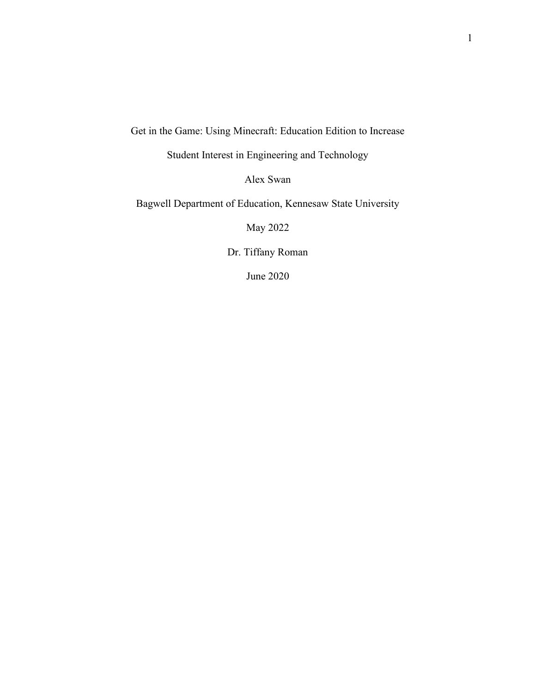Get in the Game: Using Minecraft: Education Edition to Increase

Student Interest in Engineering and Technology

Alex Swan

Bagwell Department of Education, Kennesaw State University

May 2022

Dr. Tiffany Roman

June 2020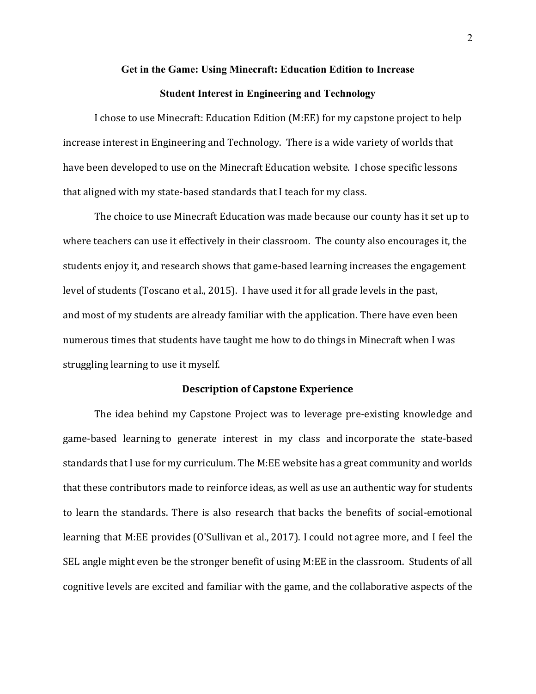# **Get in the Game: Using Minecraft: Education Edition to Increase Student Interest in Engineering and Technology**

I chose to use Minecraft: Education Edition (M:EE) for my capstone project to help increase interest in Engineering and Technology. There is a wide variety of worlds that have been developed to use on the Minecraft Education website. I chose specific lessons that aligned with my state-based standards that I teach for my class.

The choice to use Minecraft Education was made because our county has it set up to where teachers can use it effectively in their classroom. The county also encourages it, the students enjoy it, and research shows that game-based learning increases the engagement level of students (Toscano et al., 2015). I have used it for all grade levels in the past, and most of my students are already familiar with the application. There have even been numerous times that students have taught me how to do things in Minecraft when I was struggling learning to use it myself.

#### **Description of Capstone Experience**

The idea behind my Capstone Project was to leverage pre-existing knowledge and game-based learning to generate interest in my class and incorporate the state-based standards that I use for my curriculum. The M:EE website has a great community and worlds that these contributors made to reinforce ideas, as well as use an authentic way for students to learn the standards. There is also research that backs the benefits of social-emotional learning that M:EE provides (O'Sullivan et al., 2017). I could not agree more, and I feel the SEL angle might even be the stronger benefit of using M:EE in the classroom. Students of all cognitive levels are excited and familiar with the game, and the collaborative aspects of the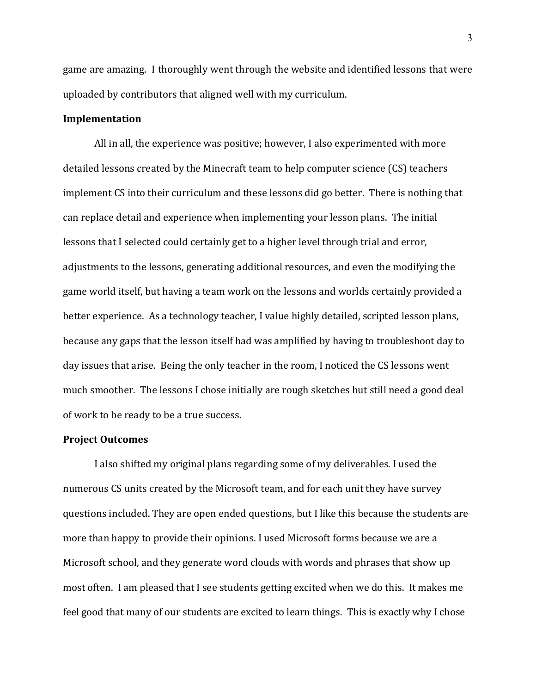game are amazing. I thoroughly went through the website and identified lessons that were uploaded by contributors that aligned well with my curriculum.

#### **Implementation**

All in all, the experience was positive; however, I also experimented with more detailed lessons created by the Minecraft team to help computer science (CS) teachers implement CS into their curriculum and these lessons did go better. There is nothing that can replace detail and experience when implementing your lesson plans. The initial lessons that I selected could certainly get to a higher level through trial and error, adjustments to the lessons, generating additional resources, and even the modifying the game world itself, but having a team work on the lessons and worlds certainly provided a better experience. As a technology teacher, I value highly detailed, scripted lesson plans, because any gaps that the lesson itself had was amplified by having to troubleshoot day to day issues that arise. Being the only teacher in the room, I noticed the CS lessons went much smoother. The lessons I chose initially are rough sketches but still need a good deal of work to be ready to be a true success.

#### **Project Outcomes**

I also shifted my original plans regarding some of my deliverables. I used the numerous CS units created by the Microsoft team, and for each unit they have survey questions included. They are open ended questions, but I like this because the students are more than happy to provide their opinions. I used Microsoft forms because we are a Microsoft school, and they generate word clouds with words and phrases that show up most often. I am pleased that I see students getting excited when we do this. It makes me feel good that many of our students are excited to learn things. This is exactly why I chose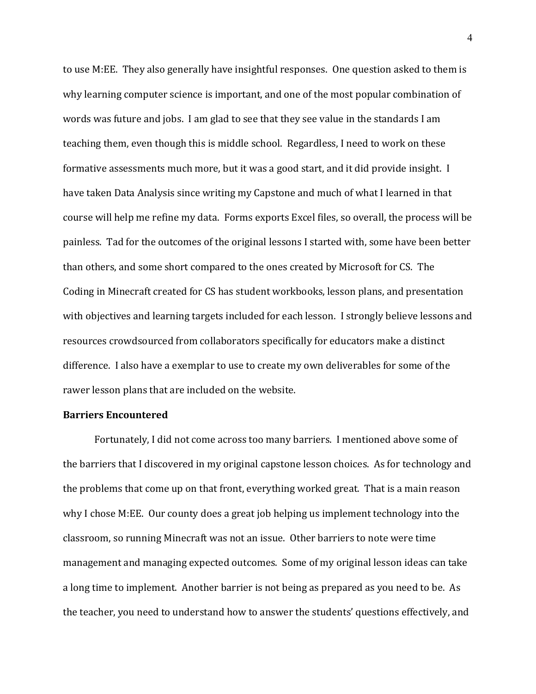to use M:EE. They also generally have insightful responses. One question asked to them is why learning computer science is important, and one of the most popular combination of words was future and jobs. I am glad to see that they see value in the standards I am teaching them, even though this is middle school. Regardless, I need to work on these formative assessments much more, but it was a good start, and it did provide insight. I have taken Data Analysis since writing my Capstone and much of what I learned in that course will help me refine my data. Forms exports Excel files, so overall, the process will be painless. Tad for the outcomes of the original lessons I started with, some have been better than others, and some short compared to the ones created by Microsoft for CS. The Coding in Minecraft created for CS has student workbooks, lesson plans, and presentation with objectives and learning targets included for each lesson. I strongly believe lessons and resources crowdsourced from collaborators specifically for educators make a distinct difference. I also have a exemplar to use to create my own deliverables for some of the rawer lesson plans that are included on the website.

## **Barriers Encountered**

Fortunately, I did not come across too many barriers. I mentioned above some of the barriers that I discovered in my original capstone lesson choices. As for technology and the problems that come up on that front, everything worked great. That is a main reason why I chose M:EE. Our county does a great job helping us implement technology into the classroom, so running Minecraft was not an issue. Other barriers to note were time management and managing expected outcomes. Some of my original lesson ideas can take a long time to implement. Another barrier is not being as prepared as you need to be. As the teacher, you need to understand how to answer the students' questions effectively, and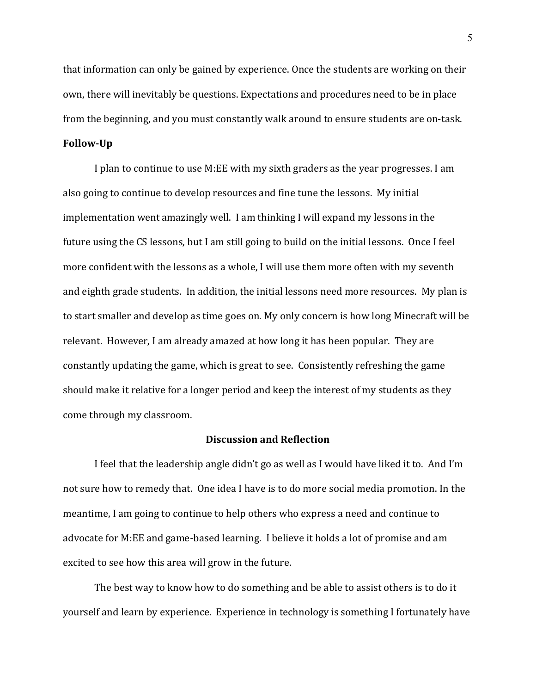that information can only be gained by experience. Once the students are working on their own, there will inevitably be questions. Expectations and procedures need to be in place from the beginning, and you must constantly walk around to ensure students are on-task.

# **Follow-Up**

I plan to continue to use M:EE with my sixth graders as the year progresses. I am also going to continue to develop resources and fine tune the lessons. My initial implementation went amazingly well. I am thinking I will expand my lessons in the future using the CS lessons, but I am still going to build on the initial lessons. Once I feel more confident with the lessons as a whole, I will use them more often with my seventh and eighth grade students. In addition, the initial lessons need more resources. My plan is to start smaller and develop as time goes on. My only concern is how long Minecraft will be relevant. However, I am already amazed at how long it has been popular. They are constantly updating the game, which is great to see. Consistently refreshing the game should make it relative for a longer period and keep the interest of my students as they come through my classroom.

# **Discussion and Reflection**

I feel that the leadership angle didn't go as well as I would have liked it to. And I'm not sure how to remedy that. One idea I have is to do more social media promotion. In the meantime, I am going to continue to help others who express a need and continue to advocate for M:EE and game-based learning. I believe it holds a lot of promise and am excited to see how this area will grow in the future.

The best way to know how to do something and be able to assist others is to do it yourself and learn by experience. Experience in technology is something I fortunately have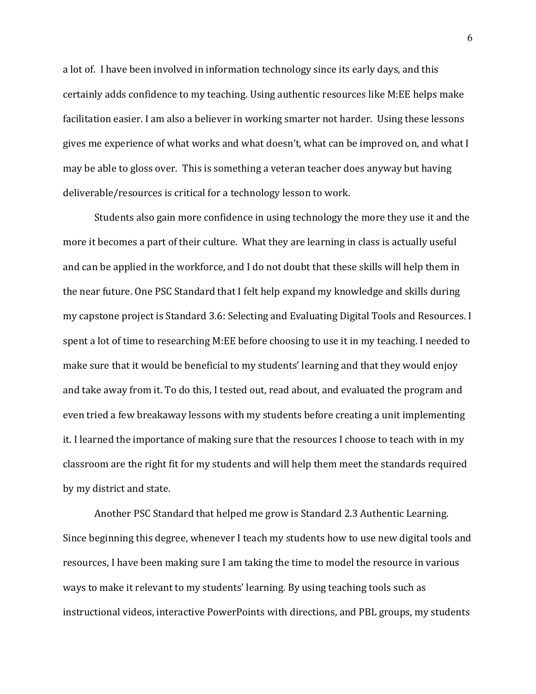a lot of. I have been involved in information technology since its early days, and this certainly adds confidence to my teaching. Using authentic resources like M:EE helps make facilitation easier. I am also a believer in working smarter not harder. Using these lessons gives me experience of what works and what doesn't, what can be improved on, and what I may be able to gloss over. This is something a veteran teacher does anyway but having deliverable/resources is critical for a technology lesson to work.

Students also gain more confidence in using technology the more they use it and the more it becomes a part of their culture. What they are learning in class is actually useful and can be applied in the workforce, and I do not doubt that these skills will help them in the near future. One PSC Standard that I felt help expand my knowledge and skills during my capstone project is Standard 3.6: Selecting and Evaluating Digital Tools and Resources. I spent a lot of time to researching M:EE before choosing to use it in my teaching. I needed to make sure that it would be beneficial to my students' learning and that they would enjoy and take away from it. To do this, I tested out, read about, and evaluated the program and even tried a few breakaway lessons with my students before creating a unit implementing it. I learned the importance of making sure that the resources I choose to teach with in my classroom are the right fit for my students and will help them meet the standards required by my district and state.

Another PSC Standard that helped me grow is Standard 2.3 Authentic Learning. Since beginning this degree, whenever I teach my students how to use new digital tools and resources, I have been making sure I am taking the time to model the resource in various ways to make it relevant to my students' learning. By using teaching tools such as instructional videos, interactive PowerPoints with directions, and PBL groups, my students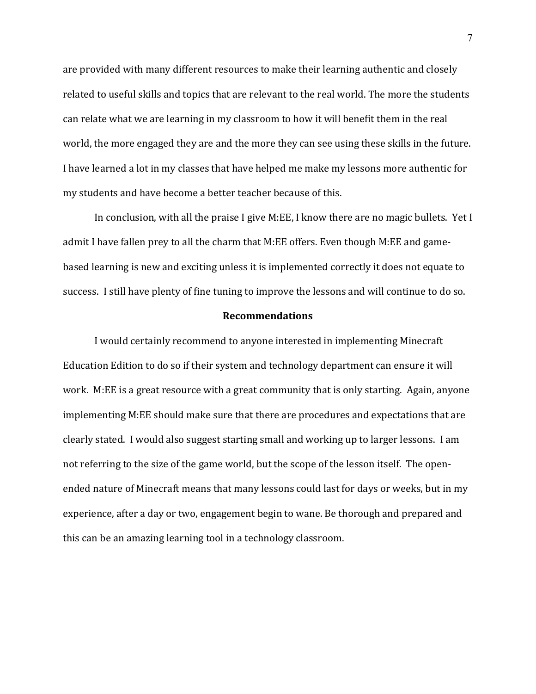are provided with many different resources to make their learning authentic and closely related to useful skills and topics that are relevant to the real world. The more the students can relate what we are learning in my classroom to how it will benefit them in the real world, the more engaged they are and the more they can see using these skills in the future. I have learned a lot in my classes that have helped me make my lessons more authentic for my students and have become a better teacher because of this.

In conclusion, with all the praise I give M:EE, I know there are no magic bullets. Yet I admit I have fallen prey to all the charm that M:EE offers. Even though M:EE and gamebased learning is new and exciting unless it is implemented correctly it does not equate to success. I still have plenty of fine tuning to improve the lessons and will continue to do so.

### **Recommendations**

I would certainly recommend to anyone interested in implementing Minecraft Education Edition to do so if their system and technology department can ensure it will work. M:EE is a great resource with a great community that is only starting. Again, anyone implementing M:EE should make sure that there are procedures and expectations that are clearly stated. I would also suggest starting small and working up to larger lessons. I am not referring to the size of the game world, but the scope of the lesson itself. The openended nature of Minecraft means that many lessons could last for days or weeks, but in my experience, after a day or two, engagement begin to wane. Be thorough and prepared and this can be an amazing learning tool in a technology classroom.